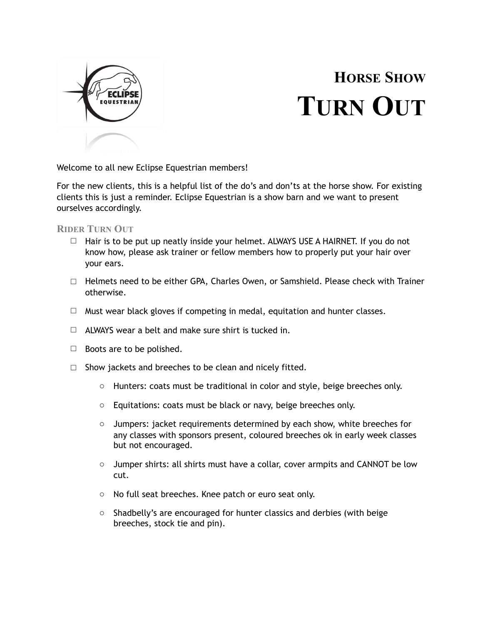

## **HORSE SHOW TURN OUT**

Welcome to all new Eclipse Equestrian members!

For the new clients, this is a helpful list of the do's and don'ts at the horse show. For existing clients this is just a reminder. Eclipse Equestrian is a show barn and we want to present ourselves accordingly.

**RIDER TURN OUT**

- □ Hair is to be put up neatly inside your helmet. ALWAYS USE A HAIRNET. If you do not know how, please ask trainer or fellow members how to properly put your hair over your ears.
- □ Helmets need to be either GPA, Charles Owen, or Samshield. Please check with Trainer otherwise.
- $\Box$  Must wear black gloves if competing in medal, equitation and hunter classes.
- $\Box$  ALWAYS wear a belt and make sure shirt is tucked in.
- $\Box$  Boots are to be polished.
- $\Box$  Show jackets and breeches to be clean and nicely fitted.
	- o Hunters: coats must be traditional in color and style, beige breeches only.
	- o Equitations: coats must be black or navy, beige breeches only.
	- $\circ$  Jumpers: jacket requirements determined by each show, white breeches for any classes with sponsors present, coloured breeches ok in early week classes but not encouraged.
	- $\circ$  Jumper shirts: all shirts must have a collar, cover armpits and CANNOT be low cut.
	- o No full seat breeches. Knee patch or euro seat only.
	- o Shadbelly's are encouraged for hunter classics and derbies (with beige breeches, stock tie and pin).